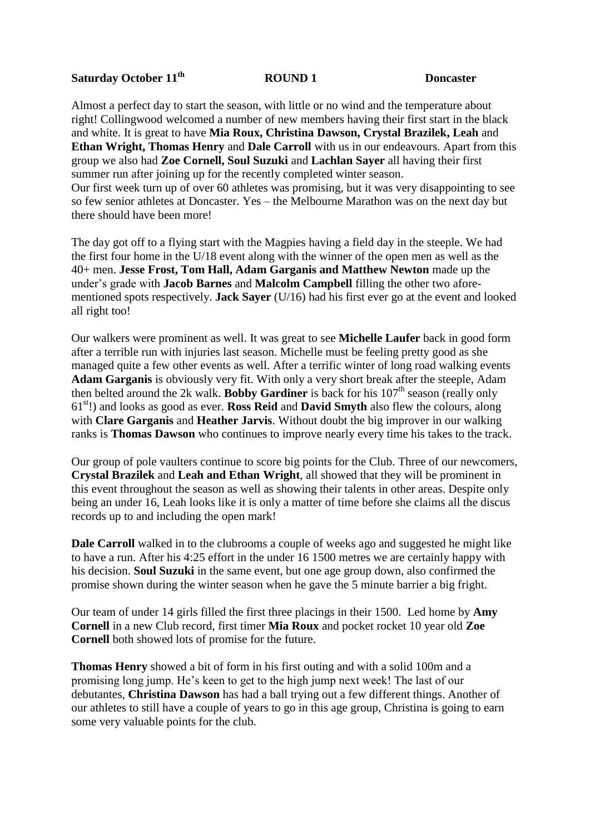## **Saturday October 11th**

## **ROUND 1** Doncaster

Almost a perfect day to start the season, with little or no wind and the temperature about right! Collingwood welcomed a number of new members having their first start in the black and white. It is great to have **Mia Roux, Christina Dawson, Crystal Brazilek, Leah** and **Ethan Wright, Thomas Henry** and **Dale Carroll** with us in our endeavours. Apart from this group we also had **Zoe Cornell, Soul Suzuki** and **Lachlan Sayer** all having their first summer run after joining up for the recently completed winter season. Our first week turn up of over 60 athletes was promising, but it was very disappointing to see so few senior athletes at Doncaster. Yes – the Melbourne Marathon was on the next day but there should have been more!

The day got off to a flying start with the Magpies having a field day in the steeple. We had the first four home in the U/18 event along with the winner of the open men as well as the 40+ men. **Jesse Frost, Tom Hall, Adam Garganis and Matthew Newton** made up the under's grade with **Jacob Barnes** and **Malcolm Campbell** filling the other two aforementioned spots respectively. **Jack Sayer** (U/16) had his first ever go at the event and looked all right too!

Our walkers were prominent as well. It was great to see **Michelle Laufer** back in good form after a terrible run with injuries last season. Michelle must be feeling pretty good as she managed quite a few other events as well. After a terrific winter of long road walking events **Adam Garganis** is obviously very fit. With only a very short break after the steeple, Adam then belted around the 2k walk. **Bobby Gardiner** is back for his  $107<sup>th</sup>$  season (really only 61st!) and looks as good as ever. **Ross Reid** and **David Smyth** also flew the colours, along with **Clare Garganis** and **Heather Jarvis**. Without doubt the big improver in our walking ranks is **Thomas Dawson** who continues to improve nearly every time his takes to the track.

Our group of pole vaulters continue to score big points for the Club. Three of our newcomers, **Crystal Brazilek** and **Leah and Ethan Wright**, all showed that they will be prominent in this event throughout the season as well as showing their talents in other areas. Despite only being an under 16, Leah looks like it is only a matter of time before she claims all the discus records up to and including the open mark!

**Dale Carroll** walked in to the clubrooms a couple of weeks ago and suggested he might like to have a run. After his 4:25 effort in the under 16 1500 metres we are certainly happy with his decision. **Soul Suzuki** in the same event, but one age group down, also confirmed the promise shown during the winter season when he gave the 5 minute barrier a big fright.

Our team of under 14 girls filled the first three placings in their 1500. Led home by **Amy Cornell** in a new Club record, first timer **Mia Roux** and pocket rocket 10 year old **Zoe Cornell** both showed lots of promise for the future.

**Thomas Henry** showed a bit of form in his first outing and with a solid 100m and a promising long jump. He's keen to get to the high jump next week! The last of our debutantes, **Christina Dawson** has had a ball trying out a few different things. Another of our athletes to still have a couple of years to go in this age group, Christina is going to earn some very valuable points for the club.